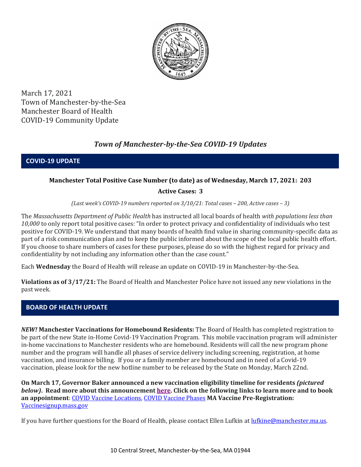

March 17, 2021 Town of Manchester-by-the-Sea Manchester Board of Health COVID-19 Community Update

# *Town of Manchester-by-the-Sea COVID-19 Updates*

**COVID-19 UPDATE**

## **Manchester Total Positive Case Number (to date) as of Wednesday, March 17, 2021: 203**

### **Active Cases: 3**

*(Last week's COVID-19 numbers reported on 3/10/21: Total cases – 200, Active cases – 3)*

The *Massachusetts Department of Public Health* has instructed all local boards of health *with populations less than 10,000* to only report total positive cases: "In order to protect privacy and confidentiality of individuals who test positive for COVID-19. We understand that many boards of health find value in sharing community-specific data as part of a risk communication plan and to keep the public informed about the scope of the local public health effort. If you choose to share numbers of cases for these purposes, please do so with the highest regard for privacy and confidentiality by not including any information other than the case count."

Each **Wednesday** the Board of Health will release an update on COVID-19 in Manchester-by-the-Sea.

**Violations as of 3/17/21:** The Board of Health and Manchester Police have not issued any new violations in the past week.

### **BOARD OF HEALTH UPDATE**

*NEW!* **Manchester Vaccinations for Homebound Residents:** The Board of Health has completed registration to be part of the new State in-Home Covid-19 Vaccination Program. This mobile vaccination program will administer in-home vaccinations to Manchester residents who are homebound. Residents will call the new program phone number and the program will handle all phases of service delivery including screening, registration, at home vaccination, and insurance billing. If you or a family member are homebound and in need of a Covid-19 vaccination, please look for the new hotline number to be released by the State on Monday, March 22nd.

**On March 17, Governor Baker announced a new vaccination eligibility timeline for residents** *(pictured below)***. Read more about this announcement [here.](https://www.mass.gov/news/baker-polito-administration-announces-vaccine-timeline-for-all-residents-provides-weekly-dose-updates-274-million-in-federal-funding-for-vaccine-equity-initiative) Click on the following links to learn more and to book an appointment**: COVID [Vaccine Locations, COVID Vaccine Phases](https://www.mass.gov/info-details/covid-19-vaccination-locations) **MA Vaccine Pre-Registration:**  [Vaccinesignup.mass.gov](https://vaccinesignup.mass.gov/#/)

If you have further questions for the Board of Health, please contact Ellen Lufkin at [lufkine@manchester.ma.us.](mailto:lufkine@manchester.ma.us)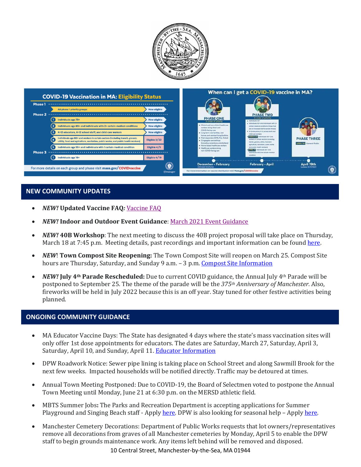



## **NEW COMMUNITY UPDATES**

- *NEW!* **Updated Vaccine FAQ***:* [Vaccine FAQ](https://www.mass.gov/doc/covid-19-vaccine-frequently-asked-questions/download)
- *NEW!* **Indoor and Outdoor Event Guidance**: [March 2021 Event Guidance](https://www.manchester.ma.us/DocumentCenter/View/3736/Final_Indoor-and-Outdoor-Events-Guidance-31121)
- *NEW!* **40B Workshop**: The next meeting to discuss the 40B project proposal will take place on Thursday, March 18 at 7:45 p.m. Meeting details, past recordings and important information can be foun[d here.](http://manchester.ma.us/729/40B)
- *NEW*! **Town Compost Site Reopening:** The Town Compost Site will reopen on March 25. Compost Site hours are Thursday, Saturday, and Sunday 9 a.m. - 3 p.m. [Compost Site Information](https://www.manchester.ma.us/413/Yard-Compost-Site)
- *NEW!* **July 4th Parade Rescheduled:** Due to current COVID guidance, the Annual July 4th Parade will be postponed to September 25. The theme of the parade will be the *375th Anniversary of Manchester.* Also, fireworks will be held in July 2022 because this is an off year. Stay tuned for other festive activities being planned.

#### **ONGOING COMMUNITY GUIDANCE**

- MA Educator Vaccine Days: The State has designated 4 days where the state's mass vaccination sites will only offer 1st dose appointments for educators. The dates are Saturday, March 27, Saturday, April 3, Saturday, April 10, and Sunday, April 11. [Educator Information](https://www.mass.gov/info-details/covid-19-vaccinations-for-k-12-educators-child-care-workers-and-school-staff)
- DPW Roadwork Notice: Sewer pipe lining is taking place on School Street and along Sawmill Brook for the next few weeks. Impacted households will be notified directly. Traffic may be detoured at times.
- Annual Town Meeting Postponed: Due to COVID-19, the Board of Selectmen voted to postpone the Annual Town Meeting until Monday, June 21 at 6:30 p.m. on the MERSD athletic field.
- MBTS Summer Jobs**:** The Parks and Recreation Department is accepting applications for Summer Playground and Singing Beach staff - Appl[y here.](https://www.manchester.ma.us/268/Parks-Recreation) DPW is also looking for seasonal help – Apply [here.](https://www.manchester.ma.us/Jobs.aspx?UniqueId=99&From=All&CommunityJobs=False&JobID=DPW-Seasonal-Help-34)
- Manchester Cemetery Decorations: Department of Public Works requests that lot owners/representatives remove all decorations from graves of all Manchester cemeteries by Monday, April 5 to enable the DPW staff to begin grounds maintenance work. Any items left behind will be removed and disposed.

10 Central Street, Manchester-by-the-Sea, MA 01944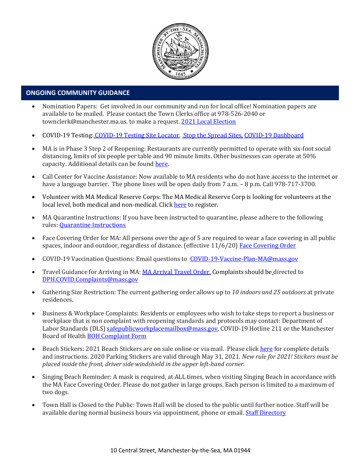

#### • **ONGOING COMMUNITY GUIDANCE**

- Nomination Papers: Get involved in our community and run for local office! Nomination papers are available to be mailed. Please contact the Town Clerks office at 978-526-2040 or townclerk@manchester.ma.us. to make a request[. 2021 Local Election](http://manchester.ma.us/503/Town-Meetings-and-Elections)
- COVID-19 Testing: [COVID-19 Testing Site Locator,](https://memamaps.maps.arcgis.com/apps/webappviewer/index.html?id=eba3f0395451430b9f631cb095febf13) [Stop the Spread Sites,](https://www.mass.gov/info-details/stop-the-spread) [COVID-19 Dashboard](https://www.mass.gov/info-details/covid-19-response-reporting#covid-19-interactive-data-dashboard-)
- MA is in Phase 3 Step 2 of Reopening: Restaurants are currently permitted to operate with six-foot social distancing, limits of six people per table and 90 minute limits. Other businesses can operate at 50% capacity. Additional details can be foun[d here.](https://www.mass.gov/news/baker-polito-administration-announces-plans-for-continued-reopening)
- Call Center for Vaccine Assistance: Now available to MA residents who do not have access to the internet or have a language barrier. The phone lines will be open daily from 7 a.m. - 8 p.m. Call 978-717-3700.
- Volunteer with MA Medical Reserve Corps: The MA Medical Reserve Corp is looking for volunteers at the local level, both medical and non-medical. Clic[k here](https://l.facebook.com/l.php?u=https%3A%2F%2Fwww.mamedicalreservecorps.org%2Fcovid19%3Ffbclid%3DIwAR1O_7U70XMSPe_kbb689S7zAJbCTYavpqNhIz9Ce2s-encj1Mlz3fOmjYI&h=AT3a2b6zxupFiw2RA_9kLVFDLZwmtblukw3wwe3pvVN6YWtLrkwxEyW8Z8S97uuzXDiNt1x4DYp7DeOoXm1U98GjBQQufV4R5eC5sYpFoqMi6iMDgiQu2THu_d0XoA0BnNUMg336NM-KtUxjtQ&__tn__=-UK-R&c%5b0%5d=AT2anP_ULhxU-U55t7AxrMiNTXfNIJnoicfzRyKEGzk_70Dtxb6ttNSKpwftDkeovmenW9ksjPEmhjSrMDjZ_NEMD2Upi_WEREnPIZBLU-8cgapV1WMi5HvUjS0InF_0K4aE4PXV6bei0V79lnY9jSo89LgXHVCMF9u0-PYa4j6cBMOzl7xPt7oB2_WGVQ8cDciW8b9U) to register.
- MA Quarantine Instructions: If you have been instructed to quarantine, please adhere to the following rules: [Quarantine Instructions](http://manchester.ma.us/DocumentCenter/View/3558/14-10-7-day-COVID19_Quarantine-information-1272020)
- Face Covering Order for MA: All persons over the age of 5 are required to wear a face covering in all public spaces, indoor and outdoor, regardless of distance. (effective 11/6/20) [Face Covering Order](http://manchester.ma.us/DocumentCenter/View/3499/Revised-Face-Coverings-Order-No-55-1?fbclid=IwAR1a7l39TKetEAZ_mA8K6saG2GZ1dRBKA9-xuJJ3tDlAVUGCp7YatZmCKEo)
- COVID-19 Vaccination Questions: Email questions to [COVID-19-Vaccine-Plan-MA@mass.gov](file:///C:/Users/marlettat/Desktop/Public%20Relations/2021/COVID-19-Vaccine-Plan-MA@mass.gov)
- Travel Guidance for Arriving in MA: [MA Arrival Travel Order.](https://www.mass.gov/guidance/guidance-for-travelers-arriving-in-the-commonwealth-of-massachusetts) Complaints should be directed to [DPH.COVID.Complaints@mass.gov](mailto:DPH.COVID.Complaints@mass.gov)
- Gathering Size Restriction: The current gathering order allows up to *10 indoors and 25 outdoors* at private residences.
- Business & Workplace Complaints: Residents or employees who wish to take steps to report a business or workplace that is non complaint with reopening standards and protocols may contact: Department of Labor Standards (DLS[\) safepublicworkplacemailbox@mass.gov,](mailto:safepublicworkplacemailbox@mass.gov) COVID-19 Hotline 211 or the Manchester Board of Health [BOH Complaint Form](http://manchester.ma.us/DocumentCenter/View/3282/Board-of-Health-Complaint-Form-2020)
- Beach Stickers: 2021 Beach Stickers are on sale online or via mail. Please clic[k here](http://manchester.ma.us/252/Beach-Resident-Parking-Stickers) for complete details and instructions. 2020 Parking Stickers are valid through May 31, 2021. *New rule for 2021! Stickers must be placed inside the front, driver side windshield in the upper left-hand corner.*
- Singing Beach Reminder: A mask is required, at ALL times, when visiting Singing Beach in accordance with the MA Face Covering Order. Please do not gather in large groups. Each person is limited to a maximum of two dogs.
- Town Hall is Closed to the Public: Town Hall will be closed to the public until further notice. Staff will be available during normal business hours via appointment, phone or email. [Staff Directory](http://manchester.ma.us/directory.aspx)